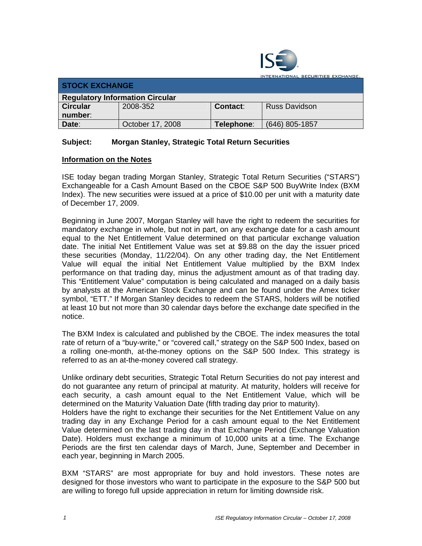

| <b>STOCK EXCHANGE</b>                  |                  |            |                      |  |  |
|----------------------------------------|------------------|------------|----------------------|--|--|
| <b>Regulatory Information Circular</b> |                  |            |                      |  |  |
| <b>Circular</b>                        | 2008-352         | Contact:   | <b>Russ Davidson</b> |  |  |
| number:                                |                  |            |                      |  |  |
| Date:                                  | October 17, 2008 | Telephone: | (646) 805-1857       |  |  |

## **Subject: Morgan Stanley, Strategic Total Return Securities**

## **Information on the Notes**

ISE today began trading Morgan Stanley, Strategic Total Return Securities ("STARS") Exchangeable for a Cash Amount Based on the CBOE S&P 500 BuyWrite Index (BXM Index). The new securities were issued at a price of \$10.00 per unit with a maturity date of December 17, 2009.

Beginning in June 2007, Morgan Stanley will have the right to redeem the securities for mandatory exchange in whole, but not in part, on any exchange date for a cash amount equal to the Net Entitlement Value determined on that particular exchange valuation date. The initial Net Entitlement Value was set at \$9.88 on the day the issuer priced these securities (Monday, 11/22/04). On any other trading day, the Net Entitlement Value will equal the initial Net Entitlement Value multiplied by the BXM Index performance on that trading day, minus the adjustment amount as of that trading day. This "Entitlement Value" computation is being calculated and managed on a daily basis by analysts at the American Stock Exchange and can be found under the Amex ticker symbol, "ETT." If Morgan Stanley decides to redeem the STARS, holders will be notified at least 10 but not more than 30 calendar days before the exchange date specified in the notice.

The BXM Index is calculated and published by the CBOE. The index measures the total rate of return of a "buy-write," or "covered call," strategy on the S&P 500 Index, based on a rolling one-month, at-the-money options on the S&P 500 Index. This strategy is referred to as an at-the-money covered call strategy.

Unlike ordinary debt securities, Strategic Total Return Securities do not pay interest and do not guarantee any return of principal at maturity. At maturity, holders will receive for each security, a cash amount equal to the Net Entitlement Value, which will be determined on the Maturity Valuation Date (fifth trading day prior to maturity).

Holders have the right to exchange their securities for the Net Entitlement Value on any trading day in any Exchange Period for a cash amount equal to the Net Entitlement Value determined on the last trading day in that Exchange Period (Exchange Valuation Date). Holders must exchange a minimum of 10,000 units at a time. The Exchange Periods are the first ten calendar days of March, June, September and December in each year, beginning in March 2005.

BXM "STARS" are most appropriate for buy and hold investors. These notes are designed for those investors who want to participate in the exposure to the S&P 500 but are willing to forego full upside appreciation in return for limiting downside risk.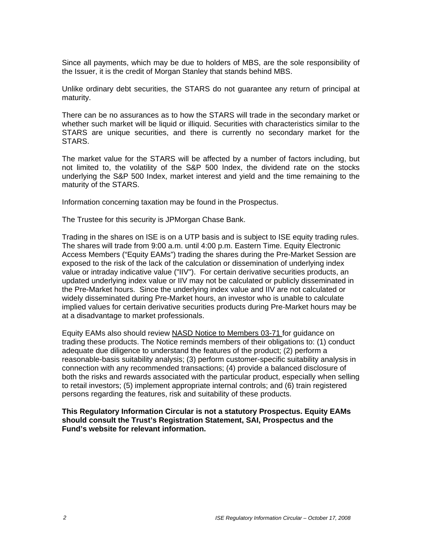Since all payments, which may be due to holders of MBS, are the sole responsibility of the Issuer, it is the credit of Morgan Stanley that stands behind MBS.

Unlike ordinary debt securities, the STARS do not guarantee any return of principal at maturity.

There can be no assurances as to how the STARS will trade in the secondary market or whether such market will be liquid or illiquid. Securities with characteristics similar to the STARS are unique securities, and there is currently no secondary market for the STARS.

The market value for the STARS will be affected by a number of factors including, but not limited to, the volatility of the S&P 500 Index, the dividend rate on the stocks underlying the S&P 500 Index, market interest and yield and the time remaining to the maturity of the STARS.

Information concerning taxation may be found in the Prospectus.

The Trustee for this security is JPMorgan Chase Bank.

Trading in the shares on ISE is on a UTP basis and is subject to ISE equity trading rules. The shares will trade from 9:00 a.m. until 4:00 p.m. Eastern Time. Equity Electronic Access Members ("Equity EAMs") trading the shares during the Pre-Market Session are exposed to the risk of the lack of the calculation or dissemination of underlying index value or intraday indicative value ("IIV"). For certain derivative securities products, an updated underlying index value or IIV may not be calculated or publicly disseminated in the Pre-Market hours. Since the underlying index value and IIV are not calculated or widely disseminated during Pre-Market hours, an investor who is unable to calculate implied values for certain derivative securities products during Pre-Market hours may be at a disadvantage to market professionals.

Equity EAMs also should review NASD Notice to Members 03-71 for guidance on trading these products. The Notice reminds members of their obligations to: (1) conduct adequate due diligence to understand the features of the product; (2) perform a reasonable-basis suitability analysis; (3) perform customer-specific suitability analysis in connection with any recommended transactions; (4) provide a balanced disclosure of both the risks and rewards associated with the particular product, especially when selling to retail investors; (5) implement appropriate internal controls; and (6) train registered persons regarding the features, risk and suitability of these products.

**This Regulatory Information Circular is not a statutory Prospectus. Equity EAMs should consult the Trust's Registration Statement, SAI, Prospectus and the Fund's website for relevant information.**